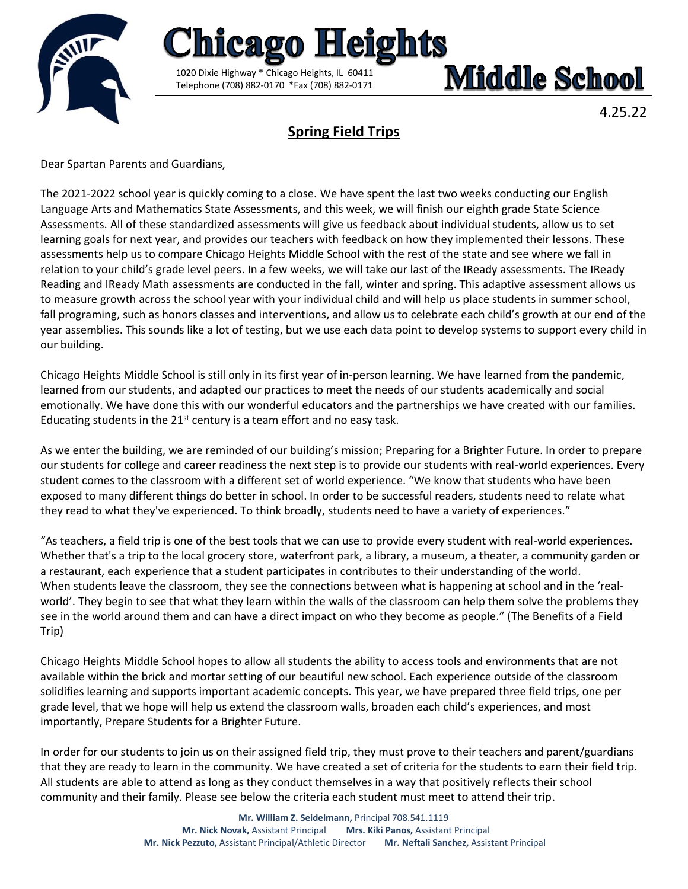

# **Middle School**

4.25.22

## **Spring Field Trips**

<u>Heights</u>

1020 Dixie Highway \* Chicago Heights, IL 60411 Telephone (708) 882-0170 \*Fax (708) 882-0171

Dear Spartan Parents and Guardians,

The 2021-2022 school year is quickly coming to a close. We have spent the last two weeks conducting our English Language Arts and Mathematics State Assessments, and this week, we will finish our eighth grade State Science Assessments. All of these standardized assessments will give us feedback about individual students, allow us to set learning goals for next year, and provides our teachers with feedback on how they implemented their lessons. These assessments help us to compare Chicago Heights Middle School with the rest of the state and see where we fall in relation to your child's grade level peers. In a few weeks, we will take our last of the IReady assessments. The IReady Reading and IReady Math assessments are conducted in the fall, winter and spring. This adaptive assessment allows us to measure growth across the school year with your individual child and will help us place students in summer school, fall programing, such as honors classes and interventions, and allow us to celebrate each child's growth at our end of the year assemblies. This sounds like a lot of testing, but we use each data point to develop systems to support every child in our building.

Chicago Heights Middle School is still only in its first year of in-person learning. We have learned from the pandemic, learned from our students, and adapted our practices to meet the needs of our students academically and social emotionally. We have done this with our wonderful educators and the partnerships we have created with our families. Educating students in the  $21^{st}$  century is a team effort and no easy task.

As we enter the building, we are reminded of our building's mission; Preparing for a Brighter Future. In order to prepare our students for college and career readiness the next step is to provide our students with real-world experiences. Every student comes to the classroom with a different set of world experience. "We know that students who have been exposed to many different things do better in school. In order to be successful readers, students need to relate what they read to what they've experienced. To think broadly, students need to have a variety of experiences."

"As teachers, a field trip is one of the best tools that we can use to provide every student with real-world experiences. Whether that's a trip to the local grocery store, waterfront park, a library, a museum, a theater, a community garden or a restaurant, each experience that a student participates in contributes to their understanding of the world. When students leave the classroom, they see the connections between what is happening at school and in the 'realworld'. They begin to see that what they learn within the walls of the classroom can help them solve the problems they see in the world around them and can have a direct impact on who they become as people." (The Benefits of a Field Trip)

Chicago Heights Middle School hopes to allow all students the ability to access tools and environments that are not available within the brick and mortar setting of our beautiful new school. Each experience outside of the classroom solidifies learning and supports important academic concepts. This year, we have prepared three field trips, one per grade level, that we hope will help us extend the classroom walls, broaden each child's experiences, and most importantly, Prepare Students for a Brighter Future.

In order for our students to join us on their assigned field trip, they must prove to their teachers and parent/guardians that they are ready to learn in the community. We have created a set of criteria for the students to earn their field trip. All students are able to attend as long as they conduct themselves in a way that positively reflects their school community and their family. Please see below the criteria each student must meet to attend their trip.